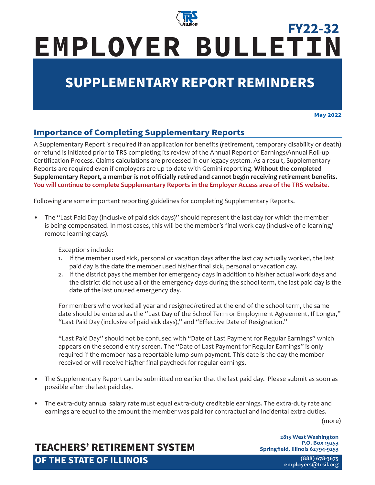

# **EMPLOYER BULLETIN FY22-32**

## **SUPPLEMENTARY REPORT REMINDERS**

**May 2022**

#### **Importance of Completing Supplementary Reports**

A Supplementary Report is required if an application for benefits (retirement, temporary disability or death) or refund is initiated prior to TRS completing its review of the Annual Report of Earnings/Annual Roll-up Certification Process. Claims calculations are processed in our legacy system. As a result, Supplementary Reports are required even if employers are up to date with Gemini reporting. **Without the completed Supplementary Report, a member is not officially retired and cannot begin receiving retirement benefits. You will continue to complete Supplementary Reports in the Employer Access area of the TRS website.**

Following are some important reporting guidelines for completing Supplementary Reports.

• The "Last Paid Day (inclusive of paid sick days)" should represent the last day for which the member is being compensated. In most cases, this will be the member's final work day (inclusive of e-learning/ remote learning days).

Exceptions include:

- 1. If the member used sick, personal or vacation days after the last day actually worked, the last paid day is the date the member used his/her final sick, personal or vacation day.
- 2. If the district pays the member for emergency days in addition to his/her actual work days and the district did not use all of the emergency days during the school term, the last paid day is the date of the last unused emergency day.

For members who worked all year and resigned/retired at the end of the school term, the same date should be entered as the "Last Day of the School Term or Employment Agreement, If Longer," "Last Paid Day (inclusive of paid sick days)," and "Effective Date of Resignation."

"Last Paid Day" should not be confused with "Date of Last Payment for Regular Earnings" which appears on the second entry screen. The "Date of Last Payment for Regular Earnings" is only required if the member has a reportable lump-sum payment. This date is the day the member received or will receive his/her final paycheck for regular earnings.

- The Supplementary Report can be submitted no earlier that the last paid day. Please submit as soon as possible after the last paid day.
- The extra-duty annual salary rate must equal extra-duty creditable earnings. The extra-duty rate and earnings are equal to the amount the member was paid for contractual and incidental extra duties.

(more)

### **TEACHERS' RETIREMENT SYSTEM OF THE STATE OF ILLINOIS**

**2815 West Washington P.O. Box 19253 Springfield, Illinois 62794-9253**

> **(888) 678-3675 [employers@trsi](mailto:employers%40trs.illinois.gov?subject=)l.org**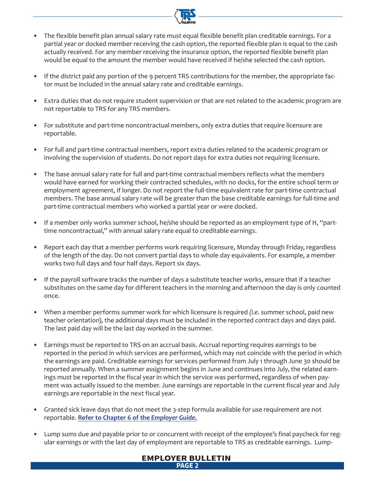- The flexible benefit plan annual salary rate must equal flexible benefit plan creditable earnings. For a partial year or docked member receiving the cash option, the reported flexible plan is equal to the cash actually received. For any member receiving the insurance option, the reported flexible benefit plan would be equal to the amount the member would have received if he/she selected the cash option.
- If the district paid any portion of the 9 percent TRS contributions for the member, the appropriate factor must be included in the annual salary rate and creditable earnings.
- Extra duties that do not require student supervision or that are not related to the academic program are not reportable to TRS for any TRS members.
- For substitute and part-time noncontractual members, only extra duties that require licensure are reportable.
- For full and part-time contractual members, report extra duties related to the academic program or involving the supervision of students. Do not report days for extra duties not requiring licensure.
- The base annual salary rate for full and part-time contractual members reflects what the members would have earned for working their contracted schedules, with no docks, for the entire school term or employment agreement, if longer. Do not report the full-time equivalent rate for part-time contractual members. The base annual salary rate will be greater than the base creditable earnings for full-time and part-time contractual members who worked a partial year or were docked.
- If a member only works summer school, he/she should be reported as an employment type of H, "parttime noncontractual," with annual salary rate equal to creditable earnings.
- Report each day that a member performs work requiring licensure, Monday through Friday, regardless of the length of the day. Do not convert partial days to whole day equivalents. For example, a member works two full days and four half days. Report six days.
- If the payroll software tracks the number of days a substitute teacher works, ensure that if a teacher substitutes on the same day for different teachers in the morning and afternoon the day is only counted once.
- When a member performs summer work for which licensure is required *(i.e.* summer school, paid new teacher orientation), the additional days must be included in the reported contract days and days paid. The last paid day will be the last day worked in the summer.
- Earnings must be reported to TRS on an accrual basis. Accrual reporting requires earnings to be reported in the period in which services are performed, which may not coincide with the period in which the earnings are paid. Creditable earnings for services performed from July 1 through June 30 should be reported annually. When a summer assignment begins in June and continues into July, the related earnings must be reported in the fiscal year in which the service was performed, regardless of when payment was actually issued to the member. June earnings are reportable in the current fiscal year and July earnings are reportable in the next fiscal year.
- Granted sick leave days that do not meet the 3-step formula available for use requirement are not reportable. **[Refer to Chapter 6 of the](https://www.trsil.org/employers/chapterSix)** *Employer Guide***.**
- Lump sums due and payable prior to or concurrent with receipt of the employee's final paycheck for regular earnings or with the last day of employment are reportable to TRS as creditable earnings. Lump-